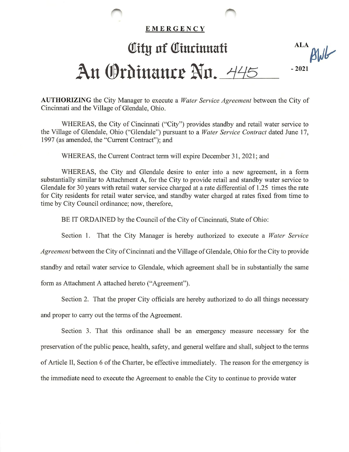## EMERGENCY

## Olttg of Olinnnnatt An Ordinance No. 445 -2021

 $ALA$  $B$ WB

AUTHORIZING the City Manager to execute a Water Service Agreement between the City of Cincinnati and the Village of Glendale, Ohio.

WHEREAS, the City of Cincinnati ("City") provides standby and retail water service to the Village of Glendale, Ohio ("Glendale") pursuant to a Water Service Contract dated June 17, 1997 (as amended, the "Current Contract"); and

WHEREAS, the Current Contract term will expire December 31, 2021; and

WHEREAS, the City and Glendale desire to enter into a new agreement, in a form substantially similar to Attachment A, for the City to provide retail and standby water service to Glendale for 30 years with retail water service charged at a rate differential of 1.25 times the rate for City residents for retail water service, and standby water charged at rates fixed from time to time by City Council ordinance; now, therefore,

BE IT ORDAINED by the Council of the City of Cincinnati, State of Ohio:

Section 1. That the City Manager is hereby authorized to execute a Water Service

Agreement between the City of Cincinnati and the Village of Glendale, Ohio for the City to provide

standby and retail water service to Glendale, which agreement shall be in substantially the same

form as Attachment A attached hereto ("Agreement").

Section 2. That the proper City officials are hereby authorized to do all things necessary

and proper to carry out the terms of the Agreement.

Section 3. That this ordinance shall be an emergency measure necessary for the preservation of the public peace, health, safety, and general welfare and shall, subject to the terms of Article II, Section 6 of the Charter, be effective immediately. The reason for the emergency is the immediate need to execute the Agreement to enable the City to continue to provide water